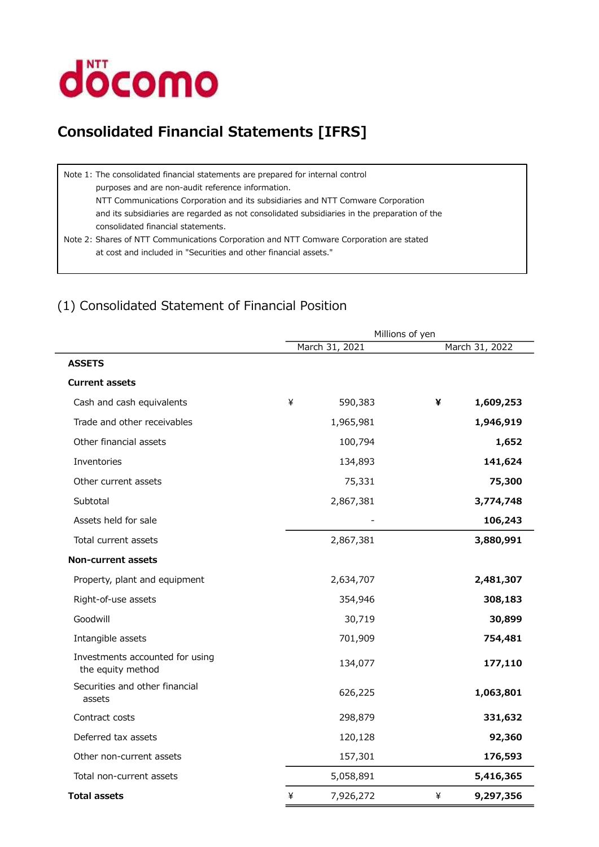

# Consolidated Financial Statements [IFRS]

Note 1: The consolidated financial statements are prepared for internal control purposes and are non-audit reference information. NTT Communications Corporation and its subsidiaries and NTT Comware Corporation and its subsidiaries are regarded as not consolidated subsidiaries in the preparation of the consolidated financial statements. Note 2: Shares of NTT Communications Corporation and NTT Comware Corporation are stated

at cost and included in "Securities and other financial assets."

## (1) Consolidated Statement of Financial Position

|                                                      | Millions of yen |                |   |                |  |  |  |
|------------------------------------------------------|-----------------|----------------|---|----------------|--|--|--|
|                                                      |                 | March 31, 2021 |   | March 31, 2022 |  |  |  |
| <b>ASSETS</b>                                        |                 |                |   |                |  |  |  |
| <b>Current assets</b>                                |                 |                |   |                |  |  |  |
| Cash and cash equivalents                            | ¥               | 590,383        | ¥ | 1,609,253      |  |  |  |
| Trade and other receivables                          |                 | 1,965,981      |   | 1,946,919      |  |  |  |
| Other financial assets                               |                 | 100,794        |   | 1,652          |  |  |  |
| Inventories                                          |                 | 134,893        |   | 141,624        |  |  |  |
| Other current assets                                 |                 | 75,331         |   | 75,300         |  |  |  |
| Subtotal                                             |                 | 2,867,381      |   | 3,774,748      |  |  |  |
| Assets held for sale                                 |                 |                |   | 106,243        |  |  |  |
| Total current assets                                 |                 | 2,867,381      |   | 3,880,991      |  |  |  |
| <b>Non-current assets</b>                            |                 |                |   |                |  |  |  |
| Property, plant and equipment                        |                 | 2,634,707      |   | 2,481,307      |  |  |  |
| Right-of-use assets                                  |                 | 354,946        |   | 308,183        |  |  |  |
| Goodwill                                             |                 | 30,719         |   | 30,899         |  |  |  |
| Intangible assets                                    |                 | 701,909        |   | 754,481        |  |  |  |
| Investments accounted for using<br>the equity method |                 | 134,077        |   | 177,110        |  |  |  |
| Securities and other financial<br>assets             |                 | 626,225        |   | 1,063,801      |  |  |  |
| Contract costs                                       |                 | 298,879        |   | 331,632        |  |  |  |
| Deferred tax assets                                  |                 | 120,128        |   | 92,360         |  |  |  |
| Other non-current assets                             |                 | 157,301        |   | 176,593        |  |  |  |
| Total non-current assets                             |                 | 5,058,891      |   | 5,416,365      |  |  |  |
| <b>Total assets</b>                                  | ¥               | 7,926,272      | ¥ | 9,297,356      |  |  |  |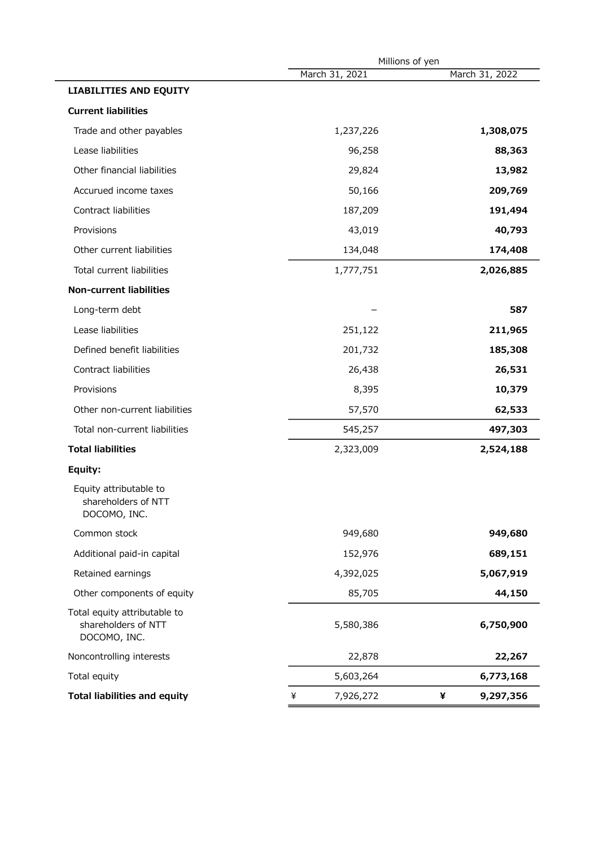|                                                                     | Millions of yen |                |  |  |
|---------------------------------------------------------------------|-----------------|----------------|--|--|
|                                                                     | March 31, 2021  | March 31, 2022 |  |  |
| <b>LIABILITIES AND EQUITY</b>                                       |                 |                |  |  |
| <b>Current liabilities</b>                                          |                 |                |  |  |
| Trade and other payables                                            | 1,237,226       | 1,308,075      |  |  |
| Lease liabilities                                                   | 96,258          | 88,363         |  |  |
| Other financial liabilities                                         | 29,824          | 13,982         |  |  |
| Accurued income taxes                                               | 50,166          | 209,769        |  |  |
| Contract liabilities                                                | 187,209         | 191,494        |  |  |
| Provisions                                                          | 43,019          | 40,793         |  |  |
| Other current liabilities                                           | 134,048         | 174,408        |  |  |
| Total current liabilities                                           | 1,777,751       | 2,026,885      |  |  |
| <b>Non-current liabilities</b>                                      |                 |                |  |  |
| Long-term debt                                                      |                 | 587            |  |  |
| Lease liabilities                                                   | 251,122         | 211,965        |  |  |
| Defined benefit liabilities                                         | 201,732         | 185,308        |  |  |
| Contract liabilities                                                | 26,438          | 26,531         |  |  |
| Provisions                                                          | 8,395           | 10,379         |  |  |
| Other non-current liabilities                                       | 57,570          | 62,533         |  |  |
| Total non-current liabilities                                       | 545,257         | 497,303        |  |  |
| <b>Total liabilities</b>                                            | 2,323,009       | 2,524,188      |  |  |
| Equity:                                                             |                 |                |  |  |
| Equity attributable to<br>shareholders of NTT<br>DOCOMO, INC.       |                 |                |  |  |
| Common stock                                                        | 949,680         | 949,680        |  |  |
| Additional paid-in capital                                          | 152,976         | 689,151        |  |  |
| Retained earnings                                                   | 4,392,025       | 5,067,919      |  |  |
| Other components of equity                                          | 85,705          | 44,150         |  |  |
| Total equity attributable to<br>shareholders of NTT<br>DOCOMO, INC. | 5,580,386       | 6,750,900      |  |  |
| Noncontrolling interests                                            | 22,878          | 22,267         |  |  |
| Total equity                                                        | 5,603,264       | 6,773,168      |  |  |
| <b>Total liabilities and equity</b>                                 | 7,926,272<br>¥  | ¥<br>9,297,356 |  |  |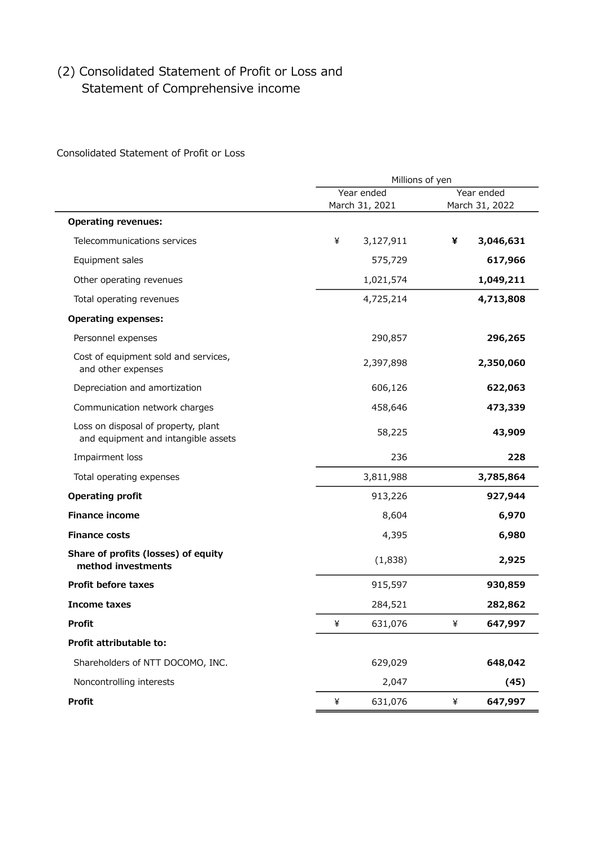## (2) Consolidated Statement of Profit or Loss and Statement of Comprehensive income

Consolidated Statement of Profit or Loss

|                                                                            |   | Millions of yen              |   |                              |  |
|----------------------------------------------------------------------------|---|------------------------------|---|------------------------------|--|
|                                                                            |   | Year ended<br>March 31, 2021 |   | Year ended<br>March 31, 2022 |  |
| <b>Operating revenues:</b>                                                 |   |                              |   |                              |  |
| Telecommunications services                                                | ¥ | 3,127,911                    | ¥ | 3,046,631                    |  |
| Equipment sales                                                            |   | 575,729                      |   | 617,966                      |  |
| Other operating revenues                                                   |   | 1,021,574                    |   | 1,049,211                    |  |
| Total operating revenues                                                   |   | 4,725,214                    |   | 4,713,808                    |  |
| <b>Operating expenses:</b>                                                 |   |                              |   |                              |  |
| Personnel expenses                                                         |   | 290,857                      |   | 296,265                      |  |
| Cost of equipment sold and services,<br>and other expenses                 |   | 2,397,898                    |   | 2,350,060                    |  |
| Depreciation and amortization                                              |   | 606,126                      |   | 622,063                      |  |
| Communication network charges                                              |   | 458,646                      |   | 473,339                      |  |
| Loss on disposal of property, plant<br>and equipment and intangible assets |   | 58,225                       |   | 43,909                       |  |
| Impairment loss                                                            |   | 236                          |   | 228                          |  |
| Total operating expenses                                                   |   | 3,811,988                    |   | 3,785,864                    |  |
| <b>Operating profit</b>                                                    |   | 913,226                      |   | 927,944                      |  |
| <b>Finance income</b>                                                      |   | 8,604                        |   | 6,970                        |  |
| <b>Finance costs</b>                                                       |   | 4,395                        |   | 6,980                        |  |
| Share of profits (losses) of equity<br>method investments                  |   | (1,838)                      |   | 2,925                        |  |
| <b>Profit before taxes</b>                                                 |   | 915,597                      |   | 930,859                      |  |
| Income taxes                                                               |   | 284,521                      |   | 282,862                      |  |
| <b>Profit</b>                                                              | ¥ | 631,076                      | ¥ | 647,997                      |  |
| Profit attributable to:                                                    |   |                              |   |                              |  |
| Shareholders of NTT DOCOMO, INC.                                           |   | 629,029                      |   | 648,042                      |  |
| Noncontrolling interests                                                   |   | 2,047                        |   | (45)                         |  |
| <b>Profit</b>                                                              | ¥ | 631,076                      | ¥ | 647,997                      |  |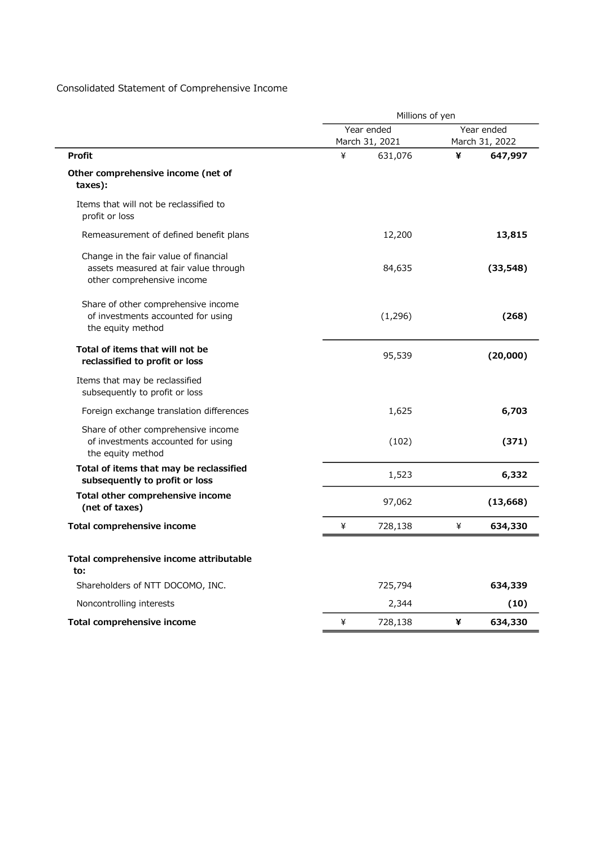### Consolidated Statement of Comprehensive Income

|                                                                                                              | Millions of yen |                              |   |                              |
|--------------------------------------------------------------------------------------------------------------|-----------------|------------------------------|---|------------------------------|
|                                                                                                              |                 | Year ended<br>March 31, 2021 |   | Year ended<br>March 31, 2022 |
| <b>Profit</b>                                                                                                | ¥               | 631,076                      | ¥ | 647,997                      |
| Other comprehensive income (net of<br>taxes):                                                                |                 |                              |   |                              |
| Items that will not be reclassified to<br>profit or loss                                                     |                 |                              |   |                              |
| Remeasurement of defined benefit plans                                                                       |                 | 12,200                       |   | 13,815                       |
| Change in the fair value of financial<br>assets measured at fair value through<br>other comprehensive income |                 | 84,635                       |   | (33, 548)                    |
| Share of other comprehensive income<br>of investments accounted for using<br>the equity method               |                 | (1,296)                      |   | (268)                        |
| Total of items that will not be<br>reclassified to profit or loss                                            |                 | 95,539                       |   | (20,000)                     |
| Items that may be reclassified<br>subsequently to profit or loss                                             |                 |                              |   |                              |
| Foreign exchange translation differences                                                                     |                 | 1,625                        |   | 6,703                        |
| Share of other comprehensive income<br>of investments accounted for using<br>the equity method               |                 | (102)                        |   | (371)                        |
| Total of items that may be reclassified<br>subsequently to profit or loss                                    |                 | 1,523                        |   | 6,332                        |
| Total other comprehensive income<br>(net of taxes)                                                           |                 | 97,062                       |   | (13, 668)                    |
| Total comprehensive income                                                                                   | ¥               | 728,138                      | ¥ | 634,330                      |
| Total comprehensive income attributable<br>to:                                                               |                 |                              |   |                              |
| Shareholders of NTT DOCOMO, INC.                                                                             |                 | 725,794                      |   | 634,339                      |
| Noncontrolling interests                                                                                     |                 | 2,344                        |   | (10)                         |
| <b>Total comprehensive income</b>                                                                            | ¥               | 728,138                      | ¥ | 634,330                      |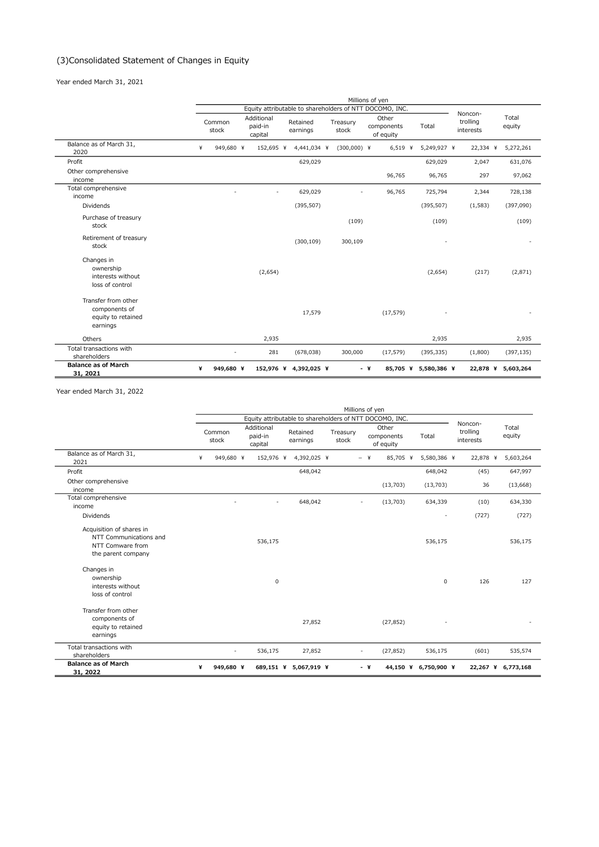#### (3)Consolidated Statement of Changes in Equity

Year ended March 31, 2021

|                                                                        |                 |                                                          |                   | Millions of yen                  |                      |                                  |                    |
|------------------------------------------------------------------------|-----------------|----------------------------------------------------------|-------------------|----------------------------------|----------------------|----------------------------------|--------------------|
|                                                                        |                 | Equity attributable to shareholders of NTT DOCOMO, INC.  |                   |                                  |                      |                                  |                    |
|                                                                        | Common<br>stock | Additional<br>Retained<br>paid-in<br>earnings<br>capital | Treasury<br>stock | Other<br>components<br>of equity | Total                | Noncon-<br>trolling<br>interests | Total<br>equity    |
| Balance as of March 31,<br>2020                                        | ¥<br>949,680 ¥  | 152,695 ¥<br>4,441,034 ¥                                 | $(300,000)$ ¥     | $6,519$ ¥                        | 5,249,927 ¥          | 22,334 ¥                         | 5,272,261          |
| Profit                                                                 |                 | 629,029                                                  |                   |                                  | 629,029              | 2,047                            | 631,076            |
| Other comprehensive<br>income                                          |                 |                                                          |                   | 96,765                           | 96,765               | 297                              | 97,062             |
| Total comprehensive<br>income                                          |                 | 629,029<br>$\tilde{\phantom{a}}$                         |                   | 96,765                           | 725,794              | 2,344                            | 728,138            |
| Dividends                                                              |                 | (395, 507)                                               |                   |                                  | (395, 507)           | (1, 583)                         | (397,090)          |
| Purchase of treasury<br>stock                                          |                 |                                                          | (109)             |                                  | (109)                |                                  | (109)              |
| Retirement of treasury<br>stock                                        |                 | (300, 109)                                               | 300,109           |                                  |                      |                                  |                    |
| Changes in<br>ownership<br>interests without<br>loss of control        |                 | (2,654)                                                  |                   |                                  | (2,654)              | (217)                            | (2,871)            |
| Transfer from other<br>components of<br>equity to retained<br>earnings |                 | 17,579                                                   |                   | (17, 579)                        |                      |                                  |                    |
| Others                                                                 |                 | 2,935                                                    |                   |                                  | 2,935                |                                  | 2,935              |
| Total transactions with<br>shareholders                                |                 | 281<br>(678, 038)                                        | 300,000           | (17, 579)                        | (395, 335)           | (1,800)                          | (397, 135)         |
| <b>Balance as of March</b><br>31, 2021                                 | ¥<br>949,680 ¥  | 152,976 ¥ 4,392,025 ¥                                    |                   | - ¥                              | 85,705 ¥ 5,580,386 ¥ |                                  | 22,878 ¥ 5,603,264 |

Year ended March 31, 2022

|                                                                                              | Millions of yen |                 |                                  |                                                         |                   |       |                                  |                      |                       |                    |
|----------------------------------------------------------------------------------------------|-----------------|-----------------|----------------------------------|---------------------------------------------------------|-------------------|-------|----------------------------------|----------------------|-----------------------|--------------------|
|                                                                                              |                 |                 |                                  | Equity attributable to shareholders of NTT DOCOMO, INC. |                   |       |                                  |                      | Noncon-               |                    |
|                                                                                              |                 | Common<br>stock | Additional<br>paid-in<br>capital | Retained<br>earnings                                    | Treasury<br>stock |       | Other<br>components<br>of equity | Total                | trolling<br>interests | Total<br>equity    |
| Balance as of March 31,<br>2021                                                              | ¥               | 949,680 ¥       | 152,976 ¥                        | 4,392,025 ¥                                             |                   | $-$ ¥ | 85,705 ¥                         | 5,580,386 ¥          | 22,878 ¥              | 5,603,264          |
| Profit                                                                                       |                 |                 |                                  | 648,042                                                 |                   |       |                                  | 648,042              | (45)                  | 647,997            |
| Other comprehensive<br>income                                                                |                 |                 |                                  |                                                         |                   |       | (13,703)                         | (13,703)             | 36                    | (13, 668)          |
| Total comprehensive<br>income                                                                |                 |                 | $\sim$                           | 648,042                                                 |                   |       | (13, 703)                        | 634,339              | (10)                  | 634,330            |
| <b>Dividends</b>                                                                             |                 |                 |                                  |                                                         |                   |       |                                  |                      | (727)                 | (727)              |
| Acquisition of shares in<br>NTT Communications and<br>NTT Comware from<br>the parent company |                 |                 | 536,175                          |                                                         |                   |       |                                  | 536,175              |                       | 536,175            |
| Changes in<br>ownership<br>interests without<br>loss of control                              |                 |                 | $\mathsf 0$                      |                                                         |                   |       |                                  | 0                    | 126                   | 127                |
| Transfer from other<br>components of<br>equity to retained<br>earnings                       |                 |                 |                                  | 27,852                                                  |                   |       | (27, 852)                        |                      |                       |                    |
| Total transactions with<br>shareholders                                                      |                 |                 | 536,175                          | 27,852                                                  |                   |       | (27, 852)                        | 536,175              | (601)                 | 535,574            |
| <b>Balance as of March</b><br>31, 2022                                                       | ¥               | 949,680 ¥       |                                  | 689,151 ¥ 5,067,919 ¥                                   |                   | - ¥   |                                  | 44,150 ¥ 6,750,900 ¥ |                       | 22,267 ¥ 6,773,168 |